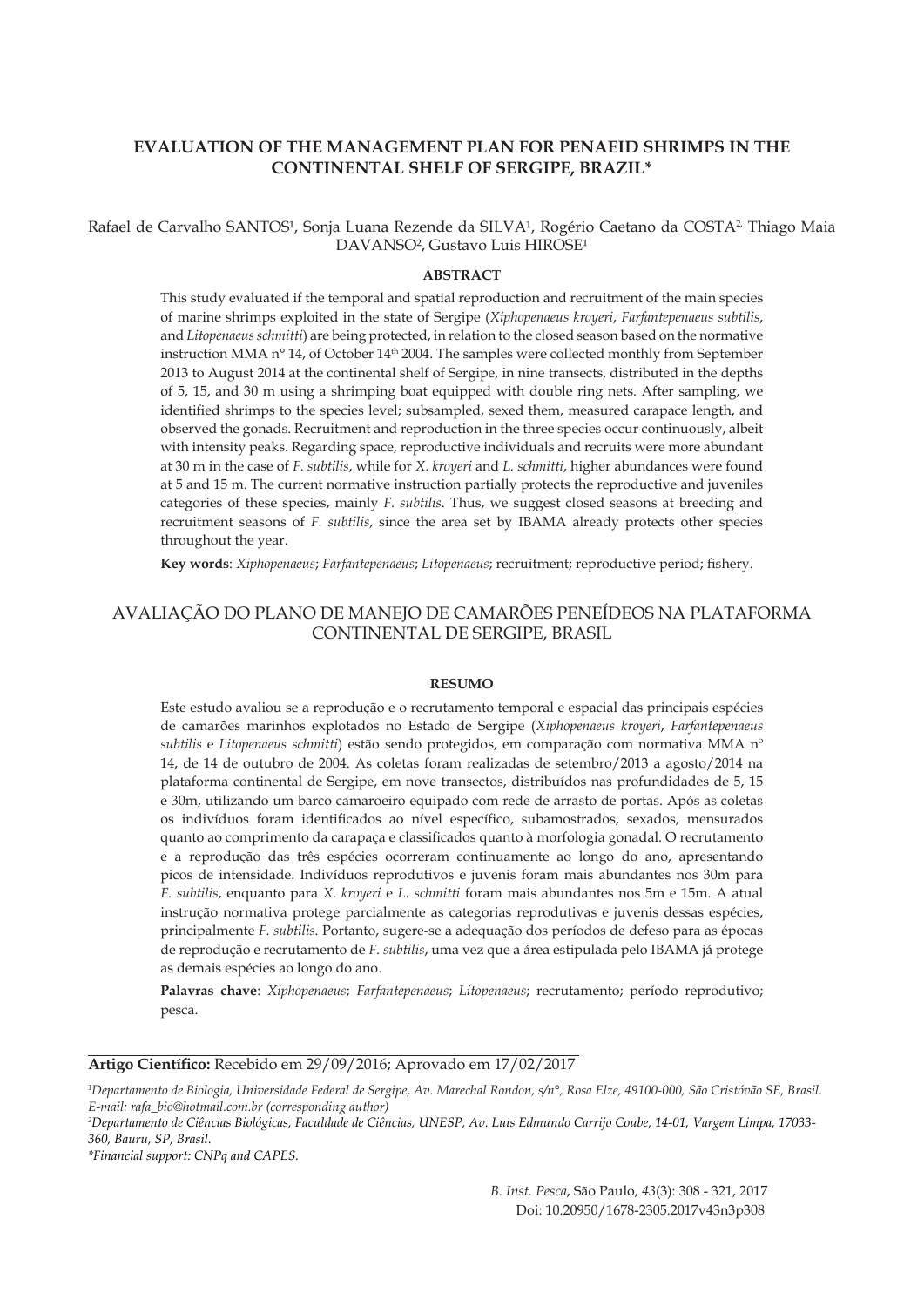# **EVALUATION OF THE MANAGEMENT PLAN FOR PENAEID SHRIMPS IN THE CONTINENTAL SHELF OF SERGIPE, BRAZIL\***

Rafael de Carvalho SANTOS<sup>1</sup>, Sonja Luana Rezende da SILVA<sup>1</sup>, Rogério Caetano da COSTA<sup>2</sup> Thiago Maia DAVANSO<sup>2</sup>, Gustavo Luis HIROSE<sup>1</sup>

### **ABSTRACT**

This study evaluated if the temporal and spatial reproduction and recruitment of the main species of marine shrimps exploited in the state of Sergipe (*Xiphopenaeus kroyeri*, *Farfantepenaeus subtilis*, and *Litopenaeus schmitti*) are being protected, in relation to the closed season based on the normative instruction MMA n° 14, of October 14<sup>th</sup> 2004. The samples were collected monthly from September 2013 to August 2014 at the continental shelf of Sergipe, in nine transects, distributed in the depths of 5, 15, and 30 m using a shrimping boat equipped with double ring nets. After sampling, we identified shrimps to the species level; subsampled, sexed them, measured carapace length, and observed the gonads. Recruitment and reproduction in the three species occur continuously, albeit with intensity peaks. Regarding space, reproductive individuals and recruits were more abundant at 30 m in the case of *F. subtilis*, while for *X. kroyeri* and *L. schmitti*, higher abundances were found at 5 and 15 m. The current normative instruction partially protects the reproductive and juveniles categories of these species, mainly *F. subtilis*. Thus, we suggest closed seasons at breeding and recruitment seasons of *F. subtilis*, since the area set by IBAMA already protects other species throughout the year.

**Key words**: *Xiphopenaeus*; *Farfantepenaeus*; *Litopenaeus*; recruitment; reproductive period; fishery.

# AVALIAÇÃO DO PLANO DE MANEJO DE CAMARÕES PENEÍDEOS NA PLATAFORMA CONTINENTAL DE SERGIPE, BRASIL

#### **RESUMO**

Este estudo avaliou se a reprodução e o recrutamento temporal e espacial das principais espécies de camarões marinhos explotados no Estado de Sergipe (*Xiphopenaeus kroyeri*, *Farfantepenaeus subtilis* e *Litopenaeus schmitti*) estão sendo protegidos, em comparação com normativa MMA nº 14, de 14 de outubro de 2004. As coletas foram realizadas de setembro/2013 a agosto/2014 na plataforma continental de Sergipe, em nove transectos, distribuídos nas profundidades de 5, 15 e 30m, utilizando um barco camaroeiro equipado com rede de arrasto de portas. Após as coletas os indivíduos foram identificados ao nível específico, subamostrados, sexados, mensurados quanto ao comprimento da carapaça e classificados quanto à morfologia gonadal. O recrutamento e a reprodução das três espécies ocorreram continuamente ao longo do ano, apresentando picos de intensidade. Indivíduos reprodutivos e juvenis foram mais abundantes nos 30m para *F. subtilis*, enquanto para *X. kroyeri* e *L. schmitti* foram mais abundantes nos 5m e 15m. A atual instrução normativa protege parcialmente as categorias reprodutivas e juvenis dessas espécies, principalmente *F. subtilis*. Portanto, sugere-se a adequação dos períodos de defeso para as épocas de reprodução e recrutamento de *F. subtilis*, uma vez que a área estipulada pelo IBAMA já protege as demais espécies ao longo do ano.

**Palavras chave**: *Xiphopenaeus*; *Farfantepenaeus*; *Litopenaeus*; recrutamento; período reprodutivo; pesca.

**Artigo Científico:** Recebido em 29/09/2016; Aprovado em 17/02/2017

*\*Financial support: CNPq and CAPES.*

*B. Inst. Pesca*, São Paulo, *43*(3): 308 - 321, 2017 Doi: 10.20950/1678-2305.2017v43n3p308

*<sup>1</sup> Departamento de Biologia, Universidade Federal de Sergipe, Av. Marechal Rondon, s/n°, Rosa Elze, 49100-000, São Cristóvão SE, Brasil. E-mail: rafa\_bio@hotmail.com.br (corresponding author)*

*<sup>2</sup> Departamento de Ciências Biológicas, Faculdade de Ciências, UNESP, Av. Luis Edmundo Carrijo Coube, 14-01, Vargem Limpa, 17033- 360, Bauru, SP, Brasil.*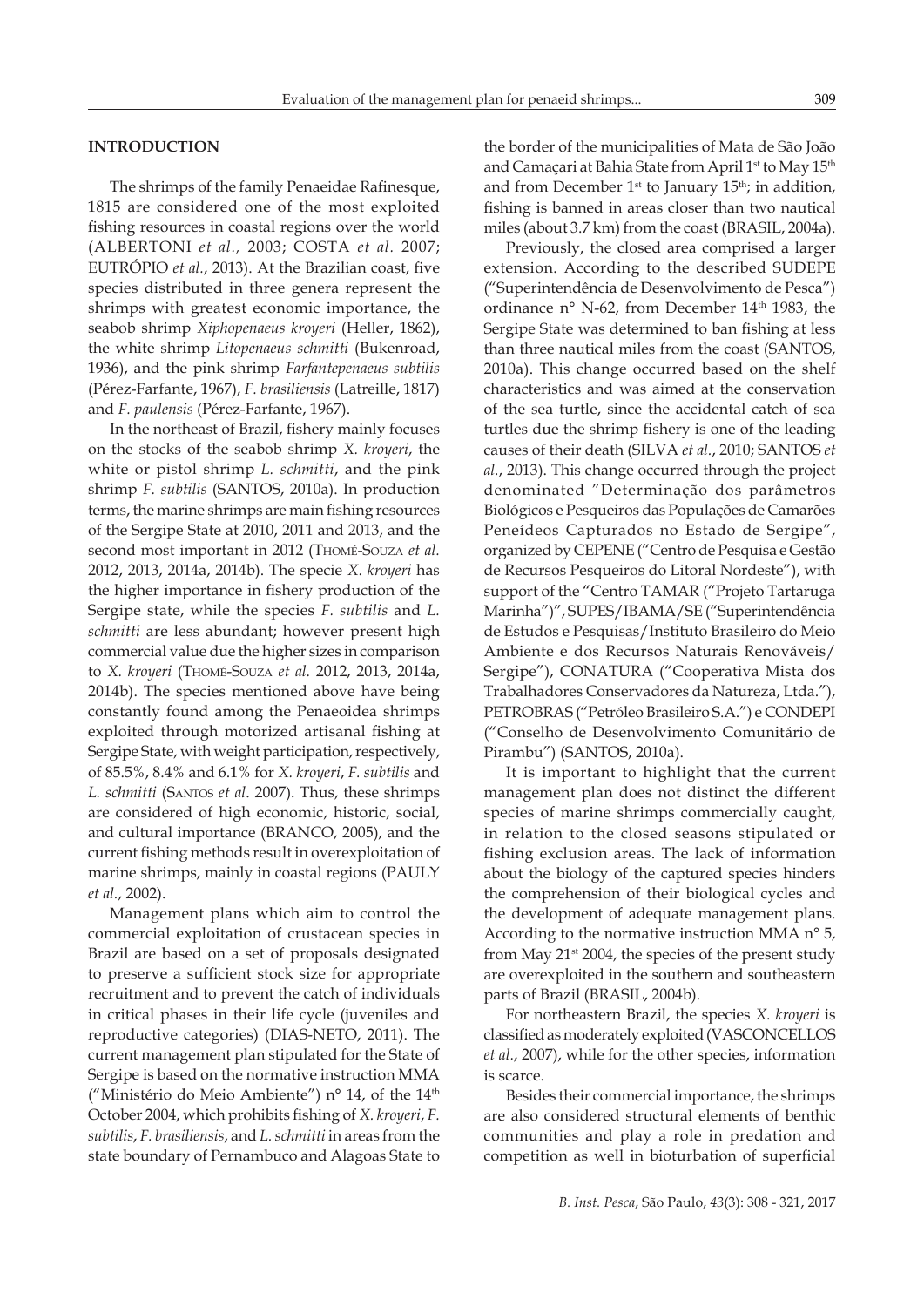## **INTRODUCTION**

The shrimps of the family Penaeidae Rafinesque, 1815 are considered one of the most exploited fishing resources in coastal regions over the world (ALBERTONI *et al.,* 2003; COSTA *et al.* 2007; EUTRÓPIO *et al.*, 2013). At the Brazilian coast, five species distributed in three genera represent the shrimps with greatest economic importance, the seabob shrimp *Xiphopenaeus kroyeri* (Heller, 1862), the white shrimp *Litopenaeus schmitti* (Bukenroad, 1936), and the pink shrimp *Farfantepenaeus subtilis* (Pérez-Farfante, 1967), *F. brasiliensis* (Latreille, 1817) and *F. paulensis* (Pérez-Farfante, 1967).

In the northeast of Brazil, fishery mainly focuses on the stocks of the seabob shrimp *X. kroyeri*, the white or pistol shrimp *L. schmitti*, and the pink shrimp *F. subtilis* (SANTOS, 2010a). In production terms, the marine shrimps are main fishing resources of the Sergipe State at 2010, 2011 and 2013, and the second most important in 2012 (Thomé-Souza *et al.* 2012, 2013, 2014a, 2014b). The specie *X. kroyeri* has the higher importance in fishery production of the Sergipe state, while the species *F. subtilis* and *L. schmitti* are less abundant; however present high commercial value due the higher sizes in comparison to *X. kroyeri* (Thomé-Souza *et al.* 2012, 2013, 2014a, 2014b). The species mentioned above have being constantly found among the Penaeoidea shrimps exploited through motorized artisanal fishing at Sergipe State, with weight participation, respectively, of 85.5%, 8.4% and 6.1% for *X. kroyeri*, *F. subtilis* and *L. schmitti* (Santos *et al*. 2007). Thus, these shrimps are considered of high economic, historic, social, and cultural importance (BRANCO, 2005), and the current fishing methods result in overexploitation of marine shrimps, mainly in coastal regions (PAULY *et al.*, 2002).

Management plans which aim to control the commercial exploitation of crustacean species in Brazil are based on a set of proposals designated to preserve a sufficient stock size for appropriate recruitment and to prevent the catch of individuals in critical phases in their life cycle (juveniles and reproductive categories) (DIAS-NETO, 2011). The current management plan stipulated for the State of Sergipe is based on the normative instruction MMA ("Ministério do Meio Ambiente") nº 14, of the 14<sup>th</sup> October 2004, which prohibits fishing of *X. kroyeri*, *F. subtilis*, *F. brasiliensis*, and *L. schmitti* in areas from the state boundary of Pernambuco and Alagoas State to

the border of the municipalities of Mata de São João and Camaçari at Bahia State from April 1st to May 15th and from December  $1<sup>st</sup>$  to January  $15<sup>th</sup>$ ; in addition, fishing is banned in areas closer than two nautical miles (about 3.7 km) from the coast (BRASIL, 2004a).

Previously, the closed area comprised a larger extension. According to the described SUDEPE ("Superintendência de Desenvolvimento de Pesca") ordinance n° N-62, from December 14<sup>th</sup> 1983, the Sergipe State was determined to ban fishing at less than three nautical miles from the coast (SANTOS, 2010a). This change occurred based on the shelf characteristics and was aimed at the conservation of the sea turtle, since the accidental catch of sea turtles due the shrimp fishery is one of the leading causes of their death (SILVA *et al.*, 2010; SANTOS *et al.*, 2013). This change occurred through the project denominated "Determinação dos parâmetros Biológicos e Pesqueiros das Populações de Camarões Peneídeos Capturados no Estado de Sergipe", organized by CEPENE ("Centro de Pesquisa e Gestão de Recursos Pesqueiros do Litoral Nordeste"), with support of the "Centro TAMAR ("Projeto Tartaruga Marinha")", SUPES/IBAMA/SE ("Superintendência de Estudos e Pesquisas/Instituto Brasileiro do Meio Ambiente e dos Recursos Naturais Renováveis/ Sergipe"), CONATURA ("Cooperativa Mista dos Trabalhadores Conservadores da Natureza, Ltda."), PETROBRAS ("Petróleo Brasileiro S.A.") e CONDEPI ("Conselho de Desenvolvimento Comunitário de Pirambu") (SANTOS, 2010a).

It is important to highlight that the current management plan does not distinct the different species of marine shrimps commercially caught, in relation to the closed seasons stipulated or fishing exclusion areas. The lack of information about the biology of the captured species hinders the comprehension of their biological cycles and the development of adequate management plans. According to the normative instruction MMA n° 5, from May  $21^{st}$  2004, the species of the present study are overexploited in the southern and southeastern parts of Brazil (BRASIL, 2004b).

For northeastern Brazil, the species *X. kroyeri* is classified as moderately exploited (VASCONCELLOS *et al.*, 2007), while for the other species, information is scarce.

Besides their commercial importance, the shrimps are also considered structural elements of benthic communities and play a role in predation and competition as well in bioturbation of superficial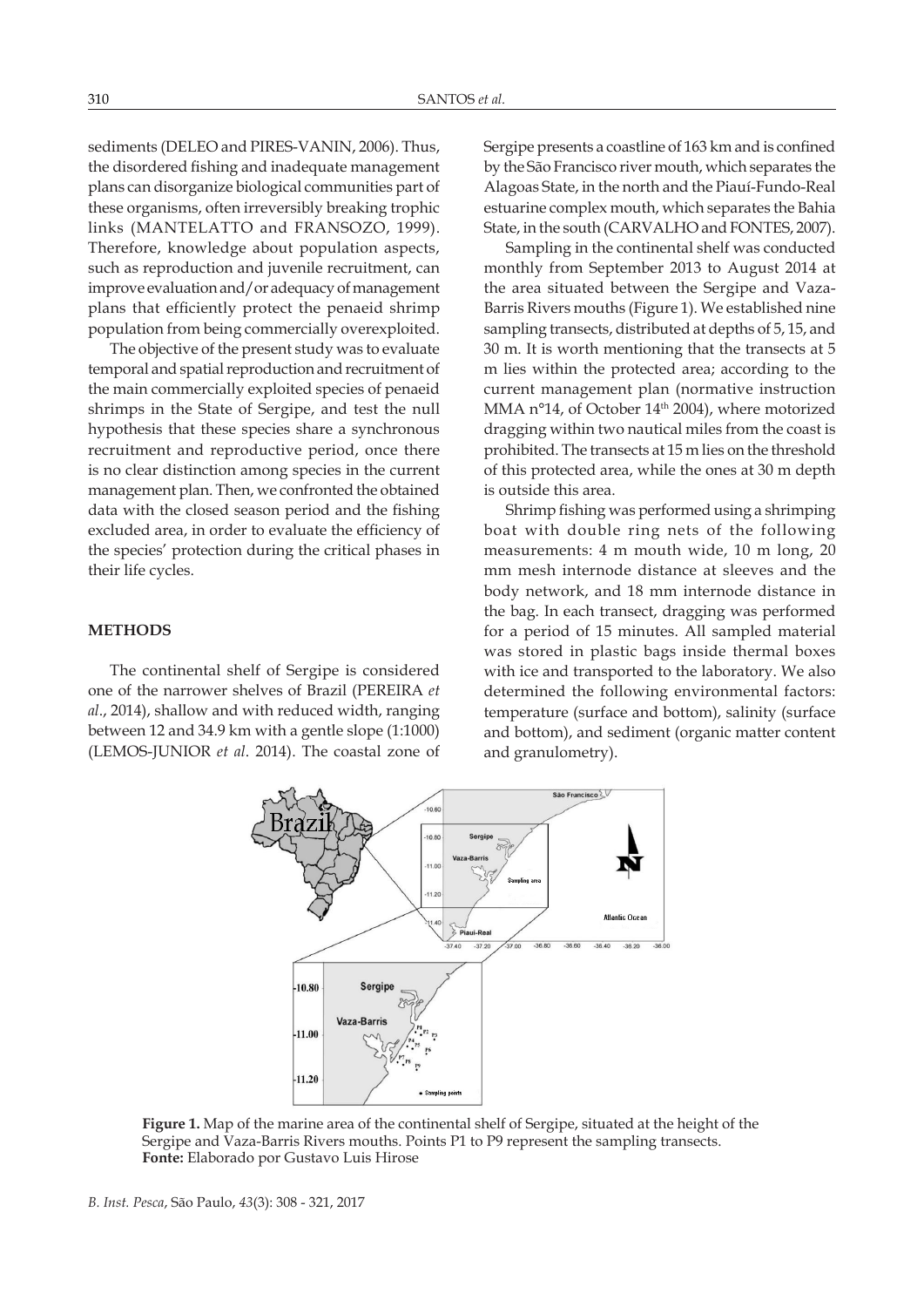sediments (DELEO and PIRES-VANIN, 2006). Thus, the disordered fishing and inadequate management plans can disorganize biological communities part of these organisms, often irreversibly breaking trophic links (MANTELATTO and FRANSOZO, 1999). Therefore, knowledge about population aspects, such as reproduction and juvenile recruitment, can improve evaluation and/or adequacy of management plans that efficiently protect the penaeid shrimp population from being commercially overexploited.

The objective of the present study was to evaluate temporal and spatial reproduction and recruitment of the main commercially exploited species of penaeid shrimps in the State of Sergipe, and test the null hypothesis that these species share a synchronous recruitment and reproductive period, once there is no clear distinction among species in the current management plan. Then, we confronted the obtained data with the closed season period and the fishing excluded area, in order to evaluate the efficiency of the species' protection during the critical phases in their life cycles.

### **METHODS**

The continental shelf of Sergipe is considered one of the narrower shelves of Brazil (PEREIRA *et al*., 2014), shallow and with reduced width, ranging between 12 and 34.9 km with a gentle slope (1:1000) (LEMOS-JUNIOR *et al*. 2014). The coastal zone of Sergipe presents a coastline of 163 km and is confined by the São Francisco river mouth, which separates the Alagoas State, in the north and the Piauí-Fundo-Real estuarine complex mouth, which separates the Bahia State, in the south (CARVALHO and FONTES, 2007).

Sampling in the continental shelf was conducted monthly from September 2013 to August 2014 at the area situated between the Sergipe and Vaza-Barris Rivers mouths (Figure 1). We established nine sampling transects, distributed at depths of 5, 15, and 30 m. It is worth mentioning that the transects at 5 m lies within the protected area; according to the current management plan (normative instruction MMA n°14, of October 14<sup>th</sup> 2004), where motorized dragging within two nautical miles from the coast is prohibited. The transects at 15 m lies on the threshold of this protected area, while the ones at 30 m depth is outside this area.

Shrimp fishing was performed using a shrimping boat with double ring nets of the following measurements: 4 m mouth wide, 10 m long, 20 mm mesh internode distance at sleeves and the body network, and 18 mm internode distance in the bag. In each transect, dragging was performed for a period of 15 minutes. All sampled material was stored in plastic bags inside thermal boxes with ice and transported to the laboratory. We also determined the following environmental factors: temperature (surface and bottom), salinity (surface and bottom), and sediment (organic matter content and granulometry).



**Figure 1.** Map of the marine area of the continental shelf of Sergipe, situated at the height of the Sergipe and Vaza-Barris Rivers mouths. Points P1 to P9 represent the sampling transects. **Fonte:** Elaborado por Gustavo Luis Hirose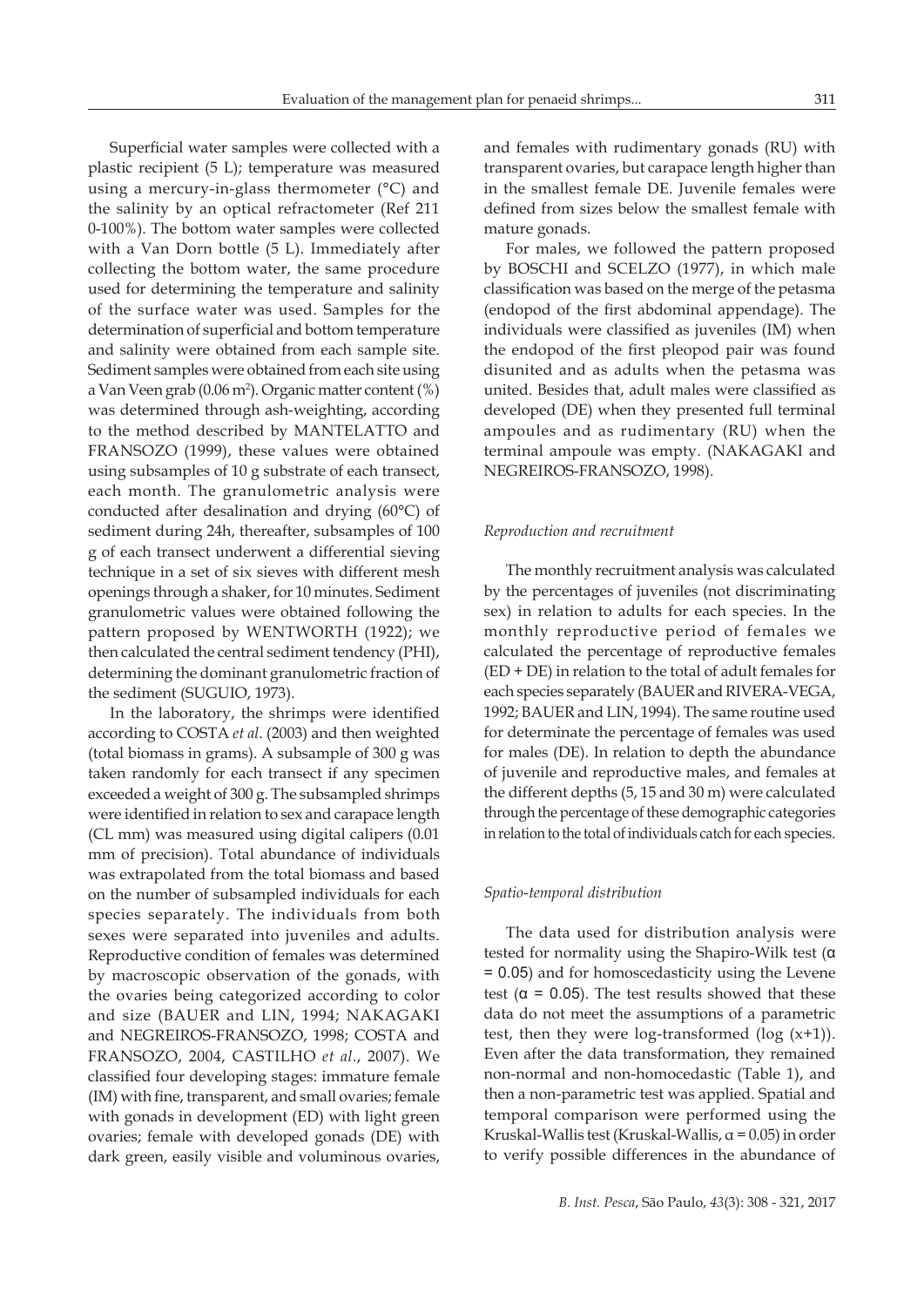Superficial water samples were collected with a plastic recipient (5 L); temperature was measured using a mercury-in-glass thermometer (°C) and the salinity by an optical refractometer (Ref 211 0-100%). The bottom water samples were collected with a Van Dorn bottle (5 L). Immediately after collecting the bottom water, the same procedure used for determining the temperature and salinity of the surface water was used. Samples for the determination of superficial and bottom temperature and salinity were obtained from each sample site. Sediment samples were obtained from each site using a Van Veen grab (0.06 m2 ). Organic matter content (%) was determined through ash-weighting, according to the method described by MANTELATTO and FRANSOZO (1999), these values were obtained using subsamples of 10 g substrate of each transect, each month. The granulometric analysis were conducted after desalination and drying (60°C) of sediment during 24h, thereafter, subsamples of 100 g of each transect underwent a differential sieving technique in a set of six sieves with different mesh openings through a shaker, for 10 minutes. Sediment granulometric values were obtained following the pattern proposed by WENTWORTH (1922); we then calculated the central sediment tendency (PHI), determining the dominant granulometric fraction of the sediment (SUGUIO, 1973).

In the laboratory, the shrimps were identified according to COSTA *et al*. (2003) and then weighted (total biomass in grams). A subsample of 300 g was taken randomly for each transect if any specimen exceeded a weight of 300 g. The subsampled shrimps were identified in relation to sex and carapace length (CL mm) was measured using digital calipers (0.01 mm of precision). Total abundance of individuals was extrapolated from the total biomass and based on the number of subsampled individuals for each species separately. The individuals from both sexes were separated into juveniles and adults. Reproductive condition of females was determined by macroscopic observation of the gonads, with the ovaries being categorized according to color and size (BAUER and LIN, 1994; NAKAGAKI and NEGREIROS-FRANSOZO, 1998; COSTA and FRANSOZO, 2004, CASTILHO *et al.*, 2007). We classified four developing stages: immature female (IM) with fine, transparent, and small ovaries; female with gonads in development (ED) with light green ovaries; female with developed gonads (DE) with dark green, easily visible and voluminous ovaries,

and females with rudimentary gonads (RU) with transparent ovaries, but carapace length higher than in the smallest female DE. Juvenile females were defined from sizes below the smallest female with mature gonads.

For males, we followed the pattern proposed by BOSCHI and SCELZO (1977), in which male classification was based on the merge of the petasma (endopod of the first abdominal appendage). The individuals were classified as juveniles (IM) when the endopod of the first pleopod pair was found disunited and as adults when the petasma was united. Besides that, adult males were classified as developed (DE) when they presented full terminal ampoules and as rudimentary (RU) when the terminal ampoule was empty. (NAKAGAKI and NEGREIROS-FRANSOZO, 1998).

#### *Reproduction and recruitment*

The monthly recruitment analysis was calculated by the percentages of juveniles (not discriminating sex) in relation to adults for each species. In the monthly reproductive period of females we calculated the percentage of reproductive females (ED + DE) in relation to the total of adult females for each species separately (BAUER and RIVERA-VEGA, 1992; BAUER and LIN, 1994). The same routine used for determinate the percentage of females was used for males (DE). In relation to depth the abundance of juvenile and reproductive males, and females at the different depths (5, 15 and 30 m) were calculated through the percentage of these demographic categories in relation to the total of individuals catch for each species.

## *Spatio-temporal distribution*

The data used for distribution analysis were tested for normality using the Shapiro-Wilk test (α = 0.05) and for homoscedasticity using the Levene test ( $\alpha$  = 0.05). The test results showed that these data do not meet the assumptions of a parametric test, then they were log-transformed (log  $(x+1)$ ). Even after the data transformation, they remained non-normal and non-homocedastic (Table 1), and then a non-parametric test was applied. Spatial and temporal comparison were performed using the Kruskal-Wallis test (Kruskal-Wallis,  $\alpha$  = 0.05) in order to verify possible differences in the abundance of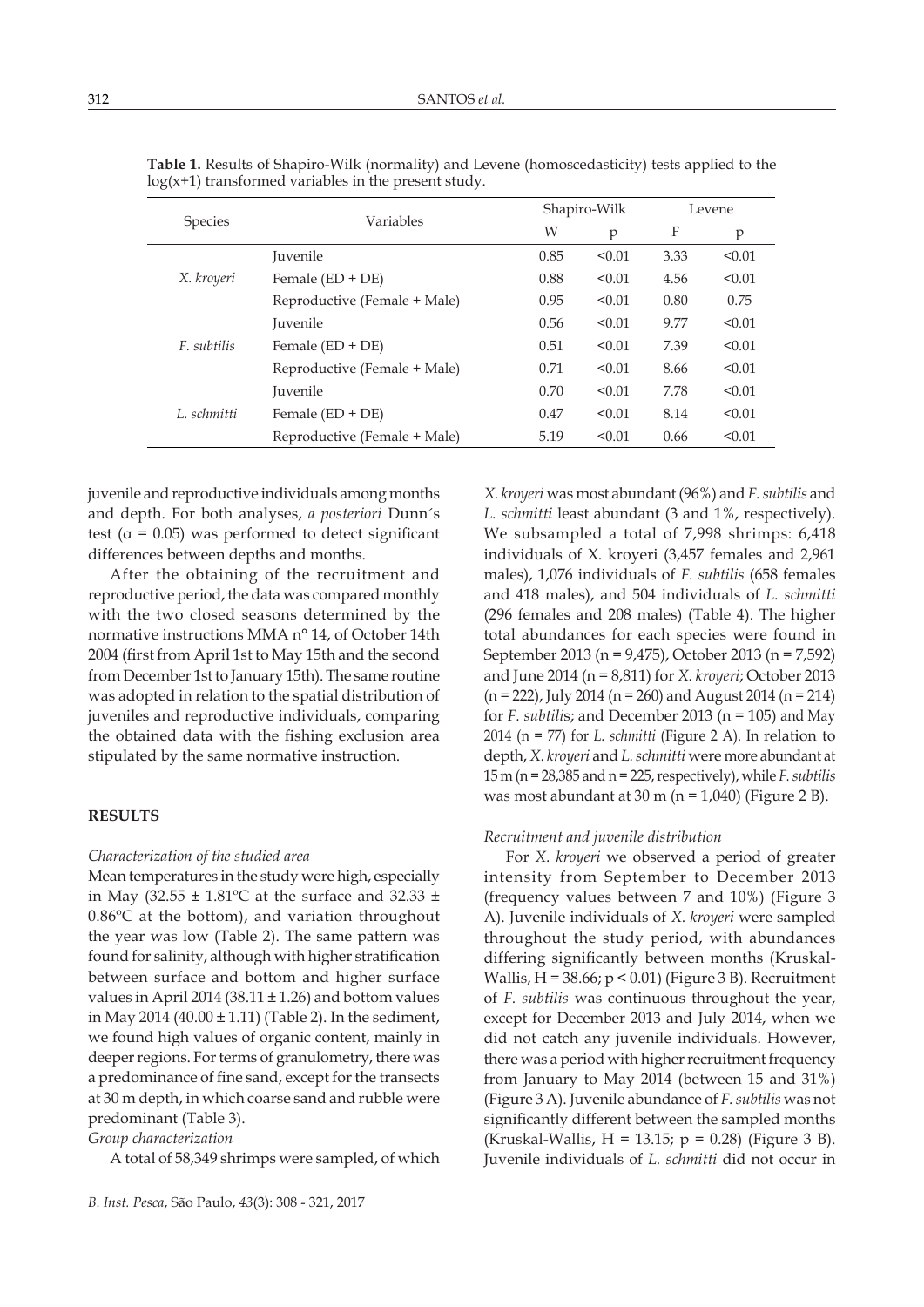|                | Variables                    |      | Shapiro-Wilk |      | Levene |  |
|----------------|------------------------------|------|--------------|------|--------|--|
| <b>Species</b> |                              | W    | p            | F    | p      |  |
| X. kroyeri     | Juvenile                     | 0.85 | < 0.01       | 3.33 | < 0.01 |  |
|                | Female $(ED + DE)$           | 0.88 | < 0.01       | 4.56 | < 0.01 |  |
|                | Reproductive (Female + Male) | 0.95 | < 0.01       | 0.80 | 0.75   |  |
| F. subtilis    | <b>Iuvenile</b>              | 0.56 | < 0.01       | 9.77 | < 0.01 |  |
|                | Female $(ED + DE)$           | 0.51 | < 0.01       | 7.39 | < 0.01 |  |
|                | Reproductive (Female + Male) | 0.71 | < 0.01       | 8.66 | < 0.01 |  |
| L. schmitti    | <b>Iuvenile</b>              | 0.70 | < 0.01       | 7.78 | < 0.01 |  |
|                | Female $(ED + DE)$           | 0.47 | < 0.01       | 8.14 | < 0.01 |  |
|                | Reproductive (Female + Male) | 5.19 | < 0.01       | 0.66 | < 0.01 |  |

**Table 1.** Results of Shapiro-Wilk (normality) and Levene (homoscedasticity) tests applied to the  $log(x+1)$  transformed variables in the present study.

juvenile and reproductive individuals among months and depth. For both analyses, *a posteriori* Dunn´s test ( $\alpha$  = 0.05) was performed to detect significant differences between depths and months.

After the obtaining of the recruitment and reproductive period, the data was compared monthly with the two closed seasons determined by the normative instructions MMA n° 14, of October 14th 2004 (first from April 1st to May 15th and the second from December 1st to January 15th). The same routine was adopted in relation to the spatial distribution of juveniles and reproductive individuals, comparing the obtained data with the fishing exclusion area stipulated by the same normative instruction.

## **RESULTS**

## *Characterization of the studied area*

Mean temperatures in the study were high, especially in May (32.55  $\pm$  1.81°C at the surface and 32.33  $\pm$ 0.86ºC at the bottom), and variation throughout the year was low (Table 2). The same pattern was found for salinity, although with higher stratification between surface and bottom and higher surface values in April 2014 (38.11  $\pm$  1.26) and bottom values in May 2014 (40.00  $\pm$  1.11) (Table 2). In the sediment, we found high values of organic content, mainly in deeper regions. For terms of granulometry, there was a predominance of fine sand, except for the transects at 30 m depth, in which coarse sand and rubble were predominant (Table 3).

*Group characterization*

A total of 58,349 shrimps were sampled, of which

*X. kroyeri* was most abundant (96%) and *F. subtilis* and *L. schmitti* least abundant (3 and 1%, respectively). We subsampled a total of 7,998 shrimps: 6,418 individuals of X. kroyeri (3,457 females and 2,961 males), 1,076 individuals of *F. subtilis* (658 females and 418 males), and 504 individuals of *L. schmitti*  (296 females and 208 males) (Table 4). The higher total abundances for each species were found in September 2013 (n = 9,475), October 2013 (n = 7,592) and June 2014 (n = 8,811) for *X. kroyeri*; October 2013  $(n = 222)$ , July 2014  $(n = 260)$  and August 2014  $(n = 214)$ for *F. subtili*s; and December 2013 (n = 105) and May 2014 (n = 77) for *L. schmitti* (Figure 2 A). In relation to depth, *X. kroyeri* and *L. schmitti* were more abundant at 15 m (n = 28,385 and n = 225, respectively), while *F. subtilis* was most abundant at  $30 \text{ m}$  (n = 1,040) (Figure 2 B).

### *Recruitment and juvenile distribution*

For *X. kroyeri* we observed a period of greater intensity from September to December 2013 (frequency values between 7 and 10%) (Figure 3 A). Juvenile individuals of *X. kroyeri* were sampled throughout the study period, with abundances differing significantly between months (Kruskal-Wallis,  $H = 38.66$ ;  $p < 0.01$ ) (Figure 3 B). Recruitment of *F. subtilis* was continuous throughout the year, except for December 2013 and July 2014, when we did not catch any juvenile individuals. However, there was a period with higher recruitment frequency from January to May 2014 (between 15 and 31%) (Figure 3 A). Juvenile abundance of *F. subtilis* was not significantly different between the sampled months (Kruskal-Wallis, H = 13.15;  $p = 0.28$ ) (Figure 3 B). Juvenile individuals of *L. schmitti* did not occur in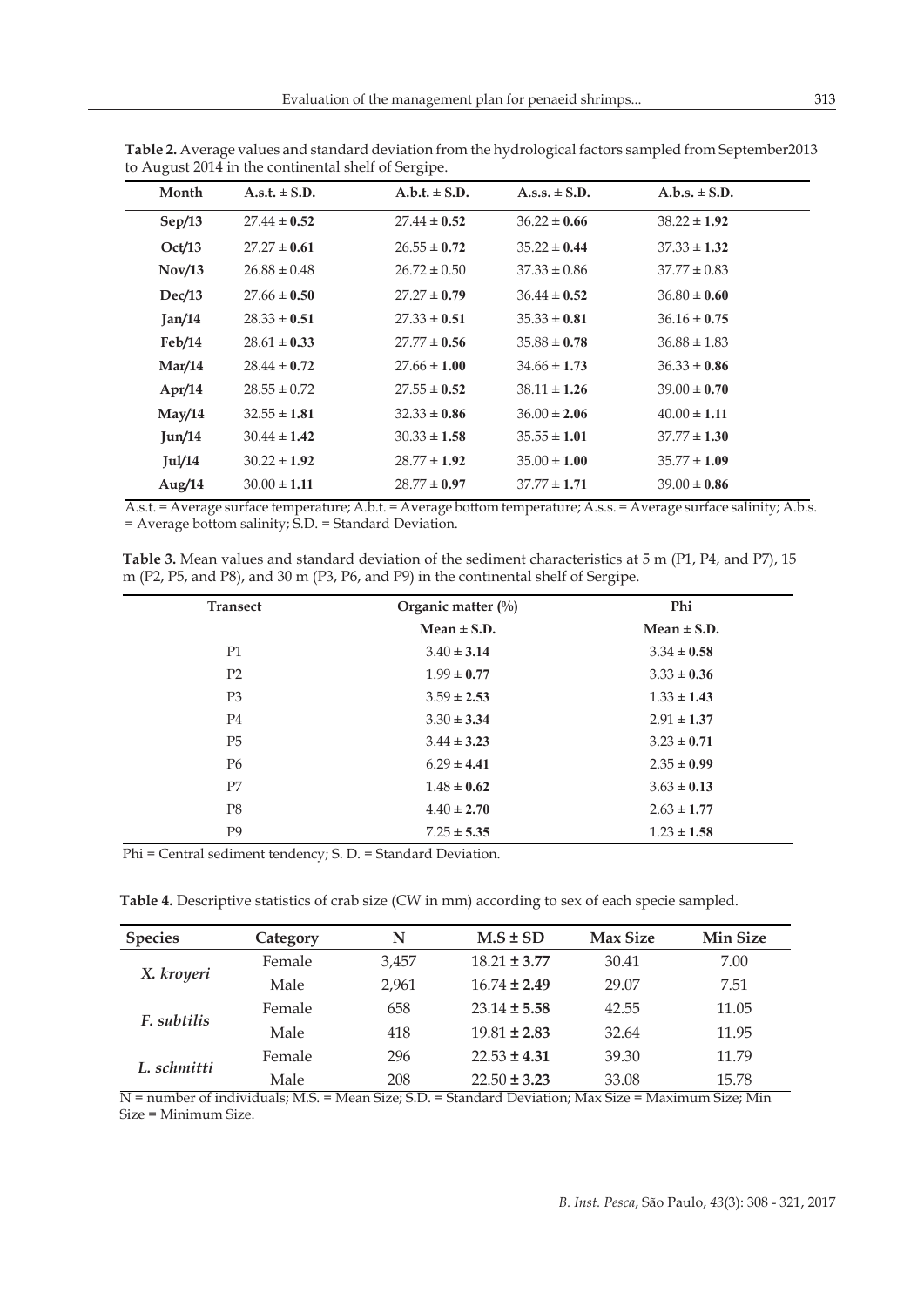| $A.s.t. \pm S.D.$ | $A.b.t. \pm S.D.$ | $A.s.s. \pm S.D.$ | $A.b.s. \pm S.D.$ |  |
|-------------------|-------------------|-------------------|-------------------|--|
| $27.44 \pm 0.52$  | $27.44 \pm 0.52$  | $36.22 \pm 0.66$  | $38.22 \pm 1.92$  |  |
| $27.27 \pm 0.61$  | $26.55 \pm 0.72$  | $35.22 \pm 0.44$  | $37.33 \pm 1.32$  |  |
| $26.88 \pm 0.48$  | $26.72 \pm 0.50$  | $37.33 \pm 0.86$  | $37.77 \pm 0.83$  |  |
| $27.66 \pm 0.50$  | $27.27 \pm 0.79$  | $36.44 \pm 0.52$  | $36.80 \pm 0.60$  |  |
| $28.33 \pm 0.51$  | $27.33 \pm 0.51$  | $35.33 \pm 0.81$  | $36.16 \pm 0.75$  |  |
| $28.61 \pm 0.33$  | $27.77 \pm 0.56$  | $35.88 \pm 0.78$  | $36.88 \pm 1.83$  |  |
| $28.44 \pm 0.72$  | $27.66 \pm 1.00$  | $34.66 \pm 1.73$  | $36.33 \pm 0.86$  |  |
| $28.55 \pm 0.72$  | $27.55 \pm 0.52$  | $38.11 \pm 1.26$  | $39.00 \pm 0.70$  |  |
| $32.55 \pm 1.81$  | $32.33 \pm 0.86$  | $36.00 \pm 2.06$  | $40.00 \pm 1.11$  |  |
| $30.44 \pm 1.42$  | $30.33 \pm 1.58$  | $35.55 \pm 1.01$  | $37.77 \pm 1.30$  |  |
| $30.22 \pm 1.92$  | $28.77 \pm 1.92$  | $35.00 \pm 1.00$  | $35.77 \pm 1.09$  |  |
| $30.00 \pm 1.11$  | $28.77 \pm 0.97$  | $37.77 \pm 1.71$  | $39.00 \pm 0.86$  |  |
|                   |                   |                   |                   |  |

**Table 2.** Average values and standard deviation from the hydrological factors sampled from September2013 to August 2014 in the continental shelf of Sergipe.

A.s.t. = Average surface temperature; A.b.t. = Average bottom temperature; A.s.s. = Average surface salinity; A.b.s. = Average bottom salinity; S.D. = Standard Deviation.

**Table 3.** Mean values and standard deviation of the sediment characteristics at 5 m (P1, P4, and P7), 15 m (P2, P5, and P8), and 30 m (P3, P6, and P9) in the continental shelf of Sergipe.

| <b>Transect</b> | Organic matter $(\%)$ | Phi             |  |
|-----------------|-----------------------|-----------------|--|
|                 | Mean $\pm$ S.D.       | Mean $\pm$ S.D. |  |
| P <sub>1</sub>  | $3.40 \pm 3.14$       | $3.34 \pm 0.58$ |  |
| P <sub>2</sub>  | $1.99 \pm 0.77$       | $3.33 \pm 0.36$ |  |
| P <sub>3</sub>  | $3.59 \pm 2.53$       | $1.33 \pm 1.43$ |  |
| P <sub>4</sub>  | $3.30 \pm 3.34$       | $2.91 \pm 1.37$ |  |
| P <sub>5</sub>  | $3.44 \pm 3.23$       | $3.23 \pm 0.71$ |  |
| P6              | $6.29 \pm 4.41$       | $2.35 \pm 0.99$ |  |
| P7              | $1.48 \pm 0.62$       | $3.63 \pm 0.13$ |  |
| P <sub>8</sub>  | $4.40 \pm 2.70$       | $2.63 \pm 1.77$ |  |
| P <sub>9</sub>  | $7.25 \pm 5.35$       | $1.23 \pm 1.58$ |  |

Phi = Central sediment tendency; S. D. = Standard Deviation.

**Table 4.** Descriptive statistics of crab size (CW in mm) according to sex of each specie sampled.

| <b>Species</b> | Category | N     | $M.S \pm SD$     | <b>Max Size</b> | Min Size |
|----------------|----------|-------|------------------|-----------------|----------|
| X. kroyeri     | Female   | 3.457 | $18.21 \pm 3.77$ | 30.41           | 7.00     |
|                | Male     | 2.961 | $16.74 \pm 2.49$ | 29.07           | 7.51     |
| F. subtilis    | Female   | 658   | $23.14 \pm 5.58$ | 42.55           | 11.05    |
|                | Male     | 418   | $19.81 \pm 2.83$ | 32.64           | 11.95    |
| L. schmitti    | Female   | 296   | $22.53 \pm 4.31$ | 39.30           | 11.79    |
|                | Male     | 208   | $22.50 \pm 3.23$ | 33.08           | 15.78    |

N = number of individuals; M.S. = Mean Size; S.D. = Standard Deviation; Max Size = Maximum Size; Min Size = Minimum Size.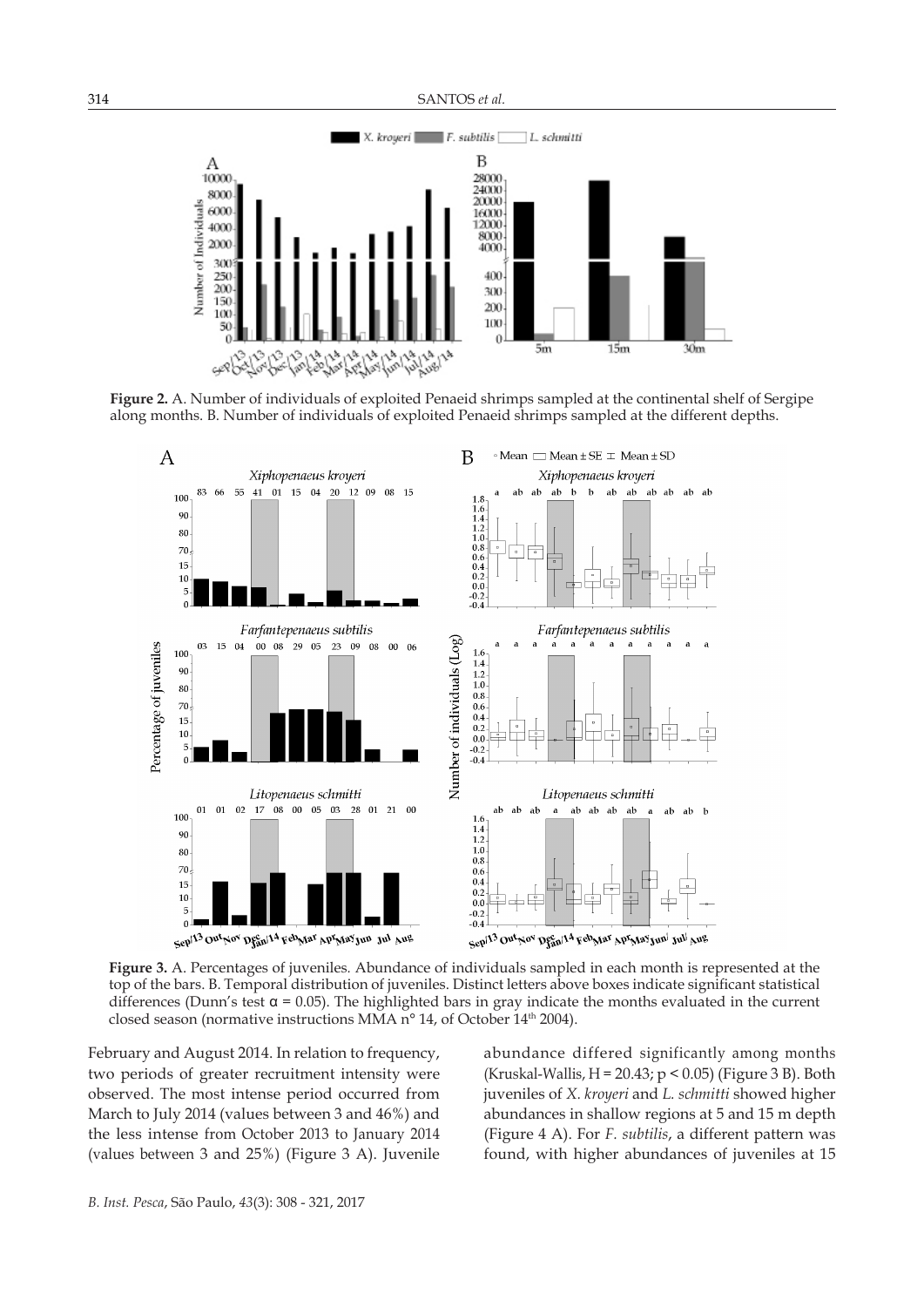

**Figure 2.** A. Number of individuals of exploited Penaeid shrimps sampled at the continental shelf of Sergipe along months. B. Number of individuals of exploited Penaeid shrimps sampled at the different depths.



**Figure 3.** A. Percentages of juveniles*.* Abundance of individuals sampled in each month is represented at the top of the bars. B. Temporal distribution of juveniles. Distinct letters above boxes indicate significant statistical differences (Dunn's test  $\alpha$  = 0.05). The highlighted bars in gray indicate the months evaluated in the current closed season (normative instructions MMA n° 14, of October 14<sup>th</sup> 2004).

February and August 2014. In relation to frequency, two periods of greater recruitment intensity were observed. The most intense period occurred from March to July 2014 (values between 3 and 46%) and the less intense from October 2013 to January 2014 (values between 3 and 25%) (Figure 3 A). Juvenile

abundance differed significantly among months (Kruskal-Wallis, H = 20.43; p < 0.05) (Figure 3 B). Both juveniles of *X. kroyeri* and *L. schmitti* showed higher abundances in shallow regions at 5 and 15 m depth (Figure 4 A). For *F. subtilis*, a different pattern was found, with higher abundances of juveniles at 15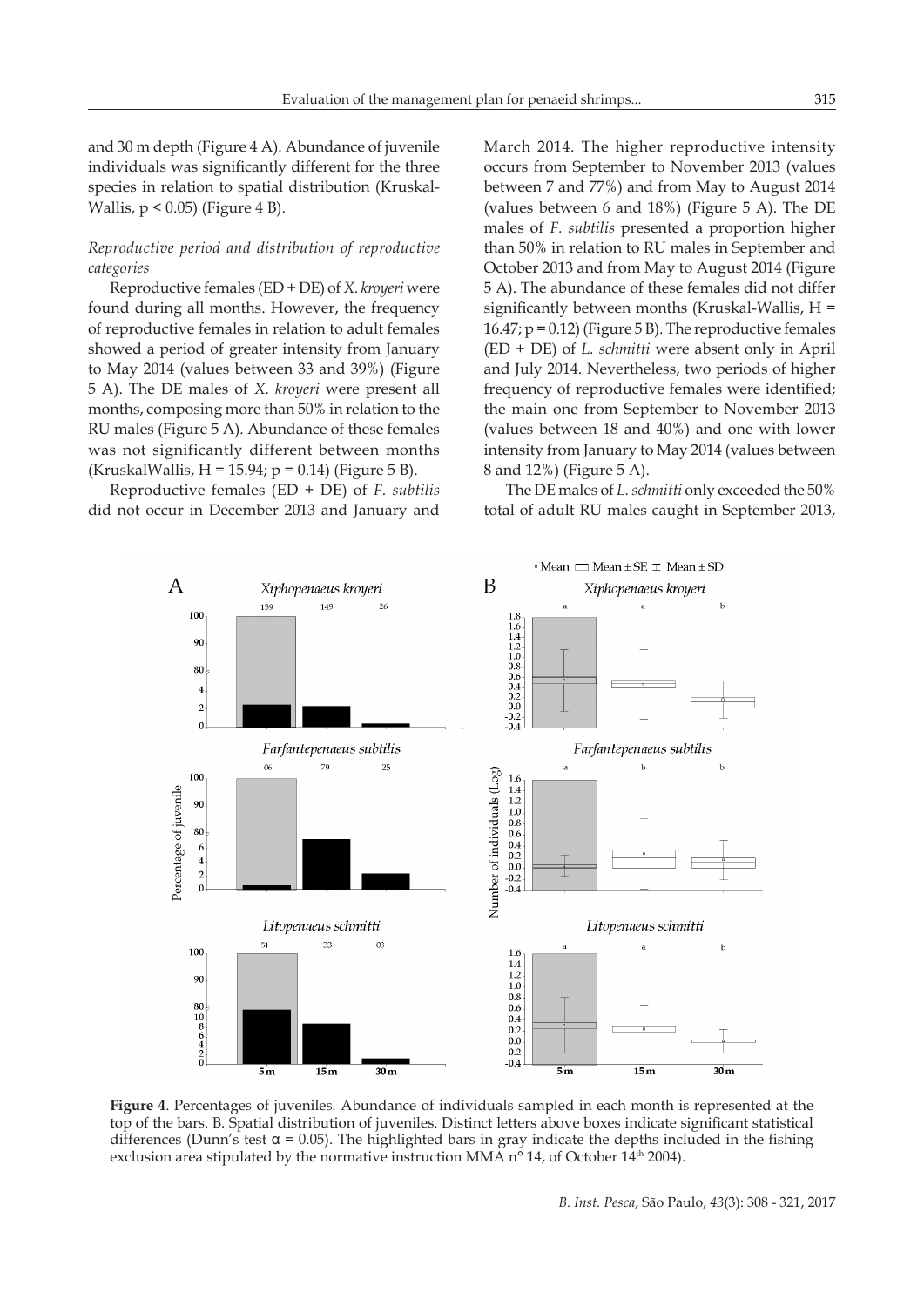and 30 m depth (Figure 4 A). Abundance of juvenile individuals was significantly different for the three species in relation to spatial distribution (Kruskal-Wallis,  $p < 0.05$ ) (Figure 4 B).

## *Reproductive period and distribution of reproductive categories*

Reproductive females (ED + DE) of *X. kroyeri* were found during all months. However, the frequency of reproductive females in relation to adult females showed a period of greater intensity from January to May 2014 (values between 33 and 39%) (Figure 5 A). The DE males of *X. kroyeri* were present all months, composing more than 50% in relation to the RU males (Figure 5 A). Abundance of these females was not significantly different between months (KruskalWallis,  $H = 15.94$ ;  $p = 0.14$ ) (Figure 5 B).

Reproductive females (ED + DE) of *F. subtilis* did not occur in December 2013 and January and

March 2014. The higher reproductive intensity occurs from September to November 2013 (values between 7 and 77%) and from May to August 2014 (values between 6 and 18%) (Figure 5 A). The DE males of *F. subtilis* presented a proportion higher than 50% in relation to RU males in September and October 2013 and from May to August 2014 (Figure 5 A). The abundance of these females did not differ significantly between months (Kruskal-Wallis,  $H =$ 16.47; p = 0.12) (Figure 5 B). The reproductive females (ED + DE) of *L. schmitti* were absent only in April and July 2014. Nevertheless, two periods of higher frequency of reproductive females were identified; the main one from September to November 2013 (values between 18 and 40%) and one with lower intensity from January to May 2014 (values between 8 and 12%) (Figure 5 A).

The DE males of *L. schmitti* only exceeded the 50% total of adult RU males caught in September 2013,



**Figure 4**. Percentages of juveniles*.* Abundance of individuals sampled in each month is represented at the top of the bars. B. Spatial distribution of juveniles. Distinct letters above boxes indicate significant statistical differences (Dunn's test  $\alpha$  = 0.05). The highlighted bars in gray indicate the depths included in the fishing exclusion area stipulated by the normative instruction MMA  $n^{\circ}$  14, of October 14<sup>th</sup> 2004).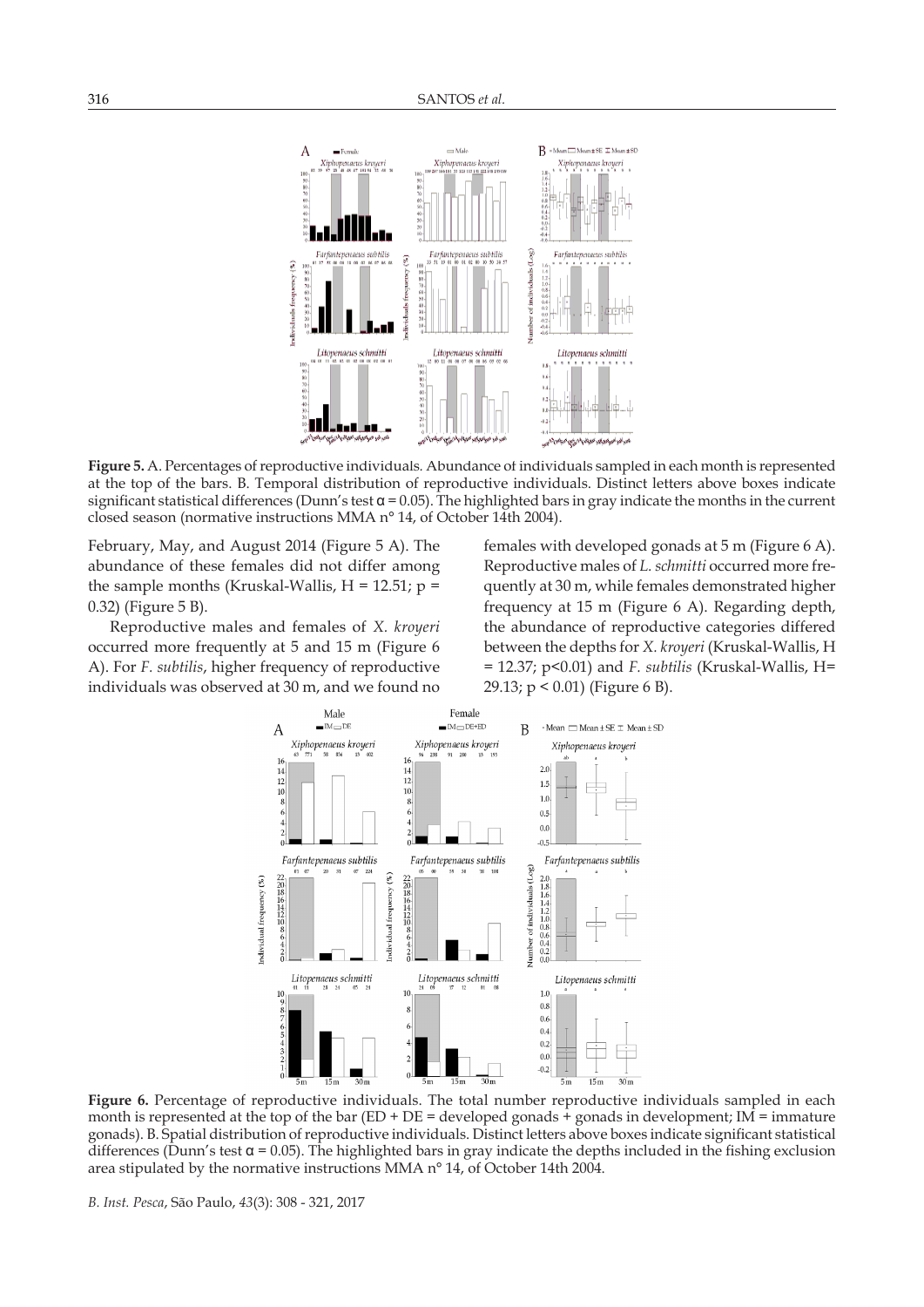

**Figure 5.** A. Percentages of reproductive individuals*.* Abundance of individuals sampled in each month is represented at the top of the bars. B. Temporal distribution of reproductive individuals. Distinct letters above boxes indicate significant statistical differences (Dunn's test  $\alpha$  = 0.05). The highlighted bars in gray indicate the months in the current closed season (normative instructions MMA n° 14, of October 14th 2004).

February, May, and August 2014 (Figure 5 A). The abundance of these females did not differ among the sample months (Kruskal-Wallis,  $H = 12.51$ ;  $p =$ 0.32) (Figure 5 B).

Reproductive males and females of *X. kroyeri* occurred more frequently at 5 and 15 m (Figure 6 A). For *F. subtilis*, higher frequency of reproductive individuals was observed at 30 m, and we found no

females with developed gonads at 5 m (Figure 6 A). Reproductive males of *L. schmitti* occurred more frequently at 30 m, while females demonstrated higher frequency at 15 m (Figure 6 A). Regarding depth, the abundance of reproductive categories differed between the depths for *X. kroyeri* (Kruskal-Wallis, H = 12.37; p<0.01) and *F. subtilis* (Kruskal-Wallis, H= 29.13; p < 0.01) (Figure 6 B).



**Figure 6.** Percentage of reproductive individuals. The total number reproductive individuals sampled in each month is represented at the top of the bar (ED + DE = developed gonads + gonads in development; IM = immature gonads). B. Spatial distribution of reproductive individuals. Distinct letters above boxes indicate significant statistical differences (Dunn's test  $\alpha$  = 0.05). The highlighted bars in gray indicate the depths included in the fishing exclusion area stipulated by the normative instructions MMA n° 14, of October 14th 2004.

*B. Inst. Pesca*, São Paulo, *43*(3): 308 - 321, 2017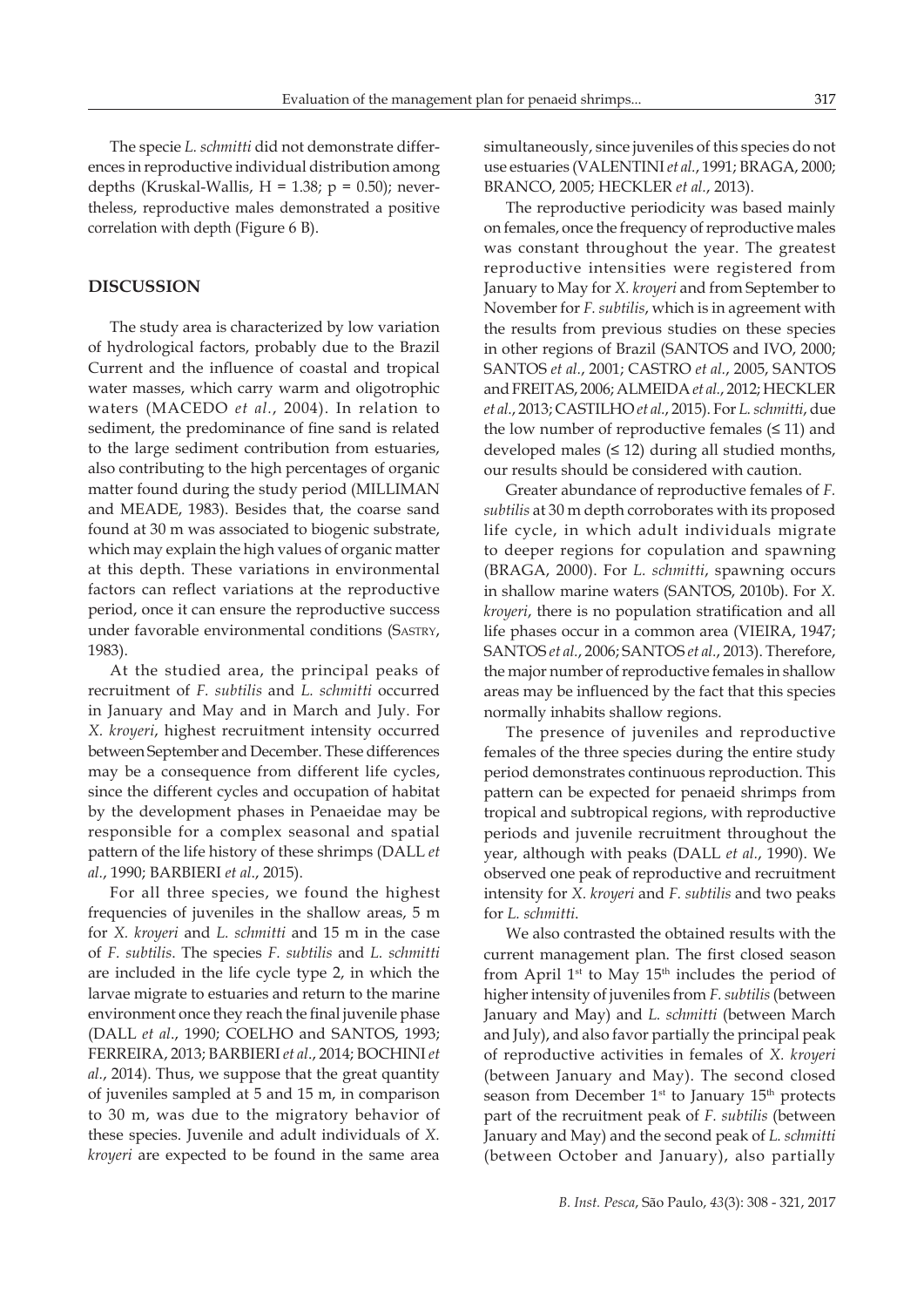The specie *L. schmitti* did not demonstrate differences in reproductive individual distribution among depths (Kruskal-Wallis,  $H = 1.38$ ;  $p = 0.50$ ); nevertheless, reproductive males demonstrated a positive correlation with depth (Figure 6 B).

## **DISCUSSION**

The study area is characterized by low variation of hydrological factors, probably due to the Brazil Current and the influence of coastal and tropical water masses, which carry warm and oligotrophic waters (MACEDO *et al.*, 2004). In relation to sediment, the predominance of fine sand is related to the large sediment contribution from estuaries, also contributing to the high percentages of organic matter found during the study period (MILLIMAN and MEADE, 1983). Besides that, the coarse sand found at 30 m was associated to biogenic substrate, which may explain the high values of organic matter at this depth. These variations in environmental factors can reflect variations at the reproductive period, once it can ensure the reproductive success under favorable environmental conditions (Sastry, 1983).

At the studied area, the principal peaks of recruitment of *F. subtilis* and *L. schmitti* occurred in January and May and in March and July. For *X. kroyeri*, highest recruitment intensity occurred between September and December. These differences may be a consequence from different life cycles, since the different cycles and occupation of habitat by the development phases in Penaeidae may be responsible for a complex seasonal and spatial pattern of the life history of these shrimps (DALL *et al.*, 1990; BARBIERI *et al*., 2015).

For all three species, we found the highest frequencies of juveniles in the shallow areas, 5 m for *X. kroyeri* and *L. schmitti* and 15 m in the case of *F. subtilis*. The species *F. subtilis* and *L. schmitti*  are included in the life cycle type 2, in which the larvae migrate to estuaries and return to the marine environment once they reach the final juvenile phase (DALL *et al*., 1990; COELHO and SANTOS, 1993; FERREIRA, 2013; BARBIERI *et al*., 2014; BOCHINI *et al.*, 2014). Thus, we suppose that the great quantity of juveniles sampled at 5 and 15 m, in comparison to 30 m, was due to the migratory behavior of these species. Juvenile and adult individuals of *X. kroyeri* are expected to be found in the same area

simultaneously, since juveniles of this species do not use estuaries (VALENTINI *et al.*, 1991; BRAGA, 2000; BRANCO, 2005; HECKLER *et al.*, 2013).

The reproductive periodicity was based mainly on females, once the frequency of reproductive males was constant throughout the year. The greatest reproductive intensities were registered from January to May for *X. kroyeri* and from September to November for *F. subtilis*, which is in agreement with the results from previous studies on these species in other regions of Brazil (SANTOS and IVO, 2000; SANTOS *et al.*, 2001; CASTRO *et al.*, 2005, SANTOS and FREITAS, 2006; ALMEIDA *et al.*, 2012; HECKLER *et al.*, 2013; CASTILHO *et al.*, 2015). For *L. schmitti*, due the low number of reproductive females  $(≤ 11)$  and developed males  $(≤ 12)$  during all studied months, our results should be considered with caution.

Greater abundance of reproductive females of *F. subtilis* at 30 m depth corroborates with its proposed life cycle, in which adult individuals migrate to deeper regions for copulation and spawning (BRAGA, 2000). For *L. schmitti*, spawning occurs in shallow marine waters (SANTOS, 2010b). For *X. kroyeri*, there is no population stratification and all life phases occur in a common area (VIEIRA, 1947; SANTOS *et al.*, 2006; SANTOS *et al.*, 2013). Therefore, the major number of reproductive females in shallow areas may be influenced by the fact that this species normally inhabits shallow regions.

The presence of juveniles and reproductive females of the three species during the entire study period demonstrates continuous reproduction. This pattern can be expected for penaeid shrimps from tropical and subtropical regions, with reproductive periods and juvenile recruitment throughout the year, although with peaks (DALL *et al.*, 1990). We observed one peak of reproductive and recruitment intensity for *X. kroyeri* and *F. subtilis* and two peaks for *L. schmitti*.

We also contrasted the obtained results with the current management plan. The first closed season from April  $1^{st}$  to May  $15^{th}$  includes the period of higher intensity of juveniles from *F. subtilis* (between January and May) and *L. schmitti* (between March and July), and also favor partially the principal peak of reproductive activities in females of *X. kroyeri* (between January and May). The second closed season from December 1<sup>st</sup> to January 15<sup>th</sup> protects part of the recruitment peak of *F. subtilis* (between January and May) and the second peak of *L. schmitti*  (between October and January), also partially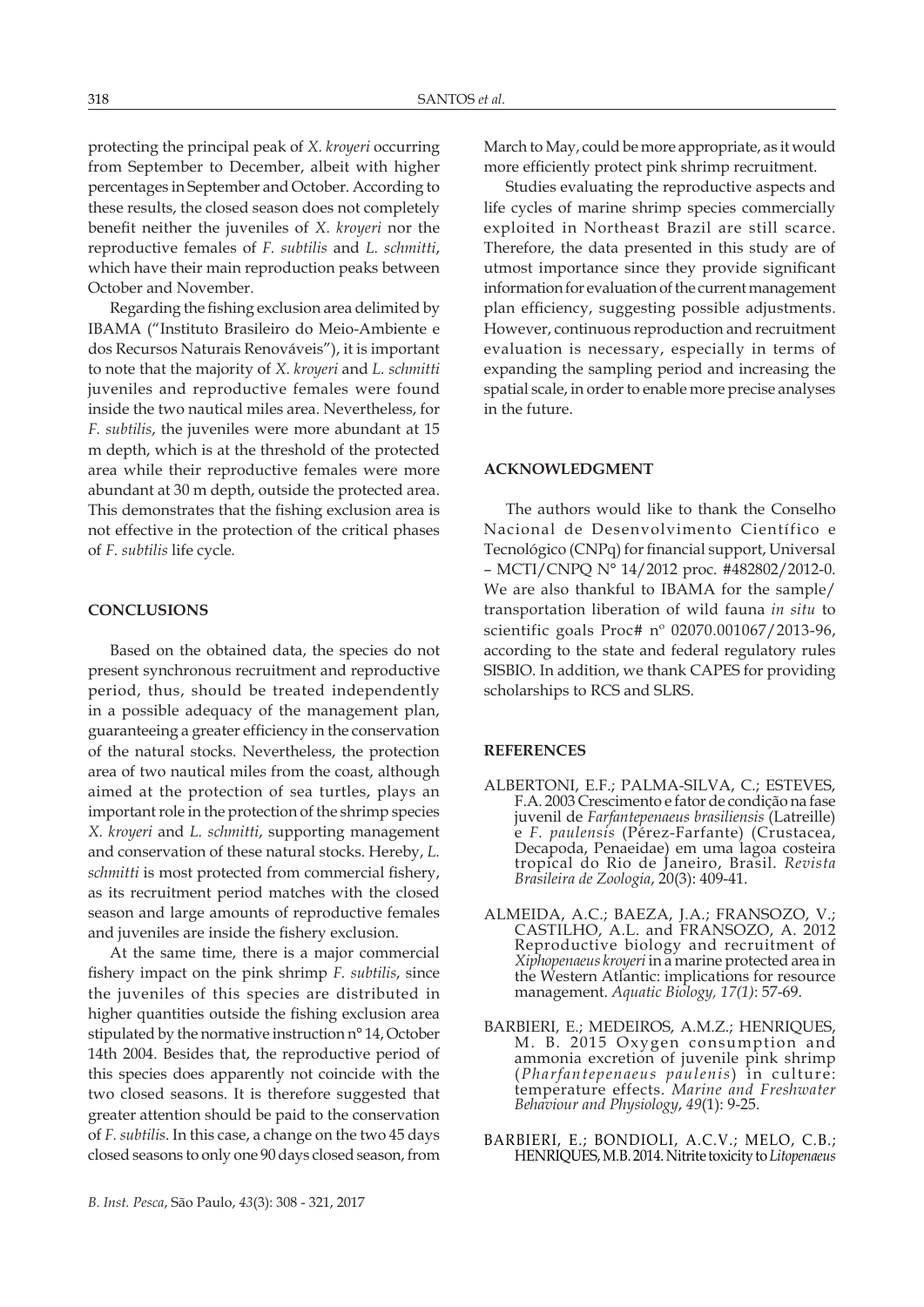protecting the principal peak of *X. kroyeri* occurring from September to December, albeit with higher percentages in September and October. According to these results, the closed season does not completely benefit neither the juveniles of *X. kroyeri* nor the reproductive females of *F. subtilis* and *L. schmitti*, which have their main reproduction peaks between October and November.

Regarding the fishing exclusion area delimited by IBAMA ("Instituto Brasileiro do Meio-Ambiente e dos Recursos Naturais Renováveis"), it is important to note that the majority of *X. kroyeri* and *L. schmitti*  juveniles and reproductive females were found inside the two nautical miles area. Nevertheless, for *F. subtilis*, the juveniles were more abundant at 15 m depth, which is at the threshold of the protected area while their reproductive females were more abundant at 30 m depth, outside the protected area. This demonstrates that the fishing exclusion area is not effective in the protection of the critical phases of *F. subtilis* life cycle*.*

## **CONCLUSIONS**

Based on the obtained data, the species do not present synchronous recruitment and reproductive period, thus, should be treated independently in a possible adequacy of the management plan, guaranteeing a greater efficiency in the conservation of the natural stocks. Nevertheless, the protection area of two nautical miles from the coast, although aimed at the protection of sea turtles, plays an important role in the protection of the shrimp species *X. kroyeri* and *L. schmitti*, supporting management and conservation of these natural stocks. Hereby, *L. schmitti* is most protected from commercial fishery, as its recruitment period matches with the closed season and large amounts of reproductive females and juveniles are inside the fishery exclusion.

At the same time, there is a major commercial fishery impact on the pink shrimp *F. subtilis*, since the juveniles of this species are distributed in higher quantities outside the fishing exclusion area stipulated by the normative instruction n° 14, October 14th 2004. Besides that, the reproductive period of this species does apparently not coincide with the two closed seasons. It is therefore suggested that greater attention should be paid to the conservation of *F. subtilis*. In this case, a change on the two 45 days closed seasons to only one 90 days closed season, from

March to May, could be more appropriate, as it would more efficiently protect pink shrimp recruitment.

Studies evaluating the reproductive aspects and life cycles of marine shrimp species commercially exploited in Northeast Brazil are still scarce. Therefore, the data presented in this study are of utmost importance since they provide significant information for evaluation of the current management plan efficiency, suggesting possible adjustments. However, continuous reproduction and recruitment evaluation is necessary, especially in terms of expanding the sampling period and increasing the spatial scale, in order to enable more precise analyses in the future.

## **ACKNOWLEDGMENT**

The authors would like to thank the Conselho Nacional de Desenvolvimento Científico e Tecnológico (CNPq) for financial support, Universal – MCTI/CNPQ N° 14/2012 proc. #482802/2012-0. We are also thankful to IBAMA for the sample/ transportation liberation of wild fauna *in situ* to scientific goals Proc# nº 02070.001067/2013-96, according to the state and federal regulatory rules SISBIO. In addition, we thank CAPES for providing scholarships to RCS and SLRS.

### **REFERENCES**

- ALBERTONI, E.F.; PALMA-SILVA, C.; ESTEVES, F.A. 2003 Crescimento e fator de condição na fase juvenil de *Farfantepenaeus brasiliensis* (Latreille) e *F. paulensis* (Pérez-Farfante) (Crustacea, Decapoda, Penaeidae) em uma lagoa costeira tropical do Rio de Janeiro, Brasil. *Revista Brasileira de Zoologia*, 20(3): 409-41.
- ALMEIDA, A.C.; BAEZA, J.A.; FRANSOZO, V.; CASTILHO, A.L. and FRANSOZO, A. 2012 Reproductive biology and recruitment of *Xiphopenaeus kroyeri* in a marine protected area in the Western Atlantic: implications for resource management. *Aquatic Biology, 17(1)*: 57-69.
- BARBIERI, E.; MEDEIROS, A.M.Z.; HENRIQUES, M. B. 2015 Oxygen consumption and ammonia excretion of juvenile pink shrimp (*Pharfantepenaeus paulenis*) in culture: temperature effects. *Marine and Freshwater Behaviour and Physiology*, *49*(1): 9-25.
- BARBIERI, E.; BONDIOLI, A.C.V.; MELO, C.B.; HENRIQUES, M.B. 2014. Nitrite toxicity to *Litopenaeus*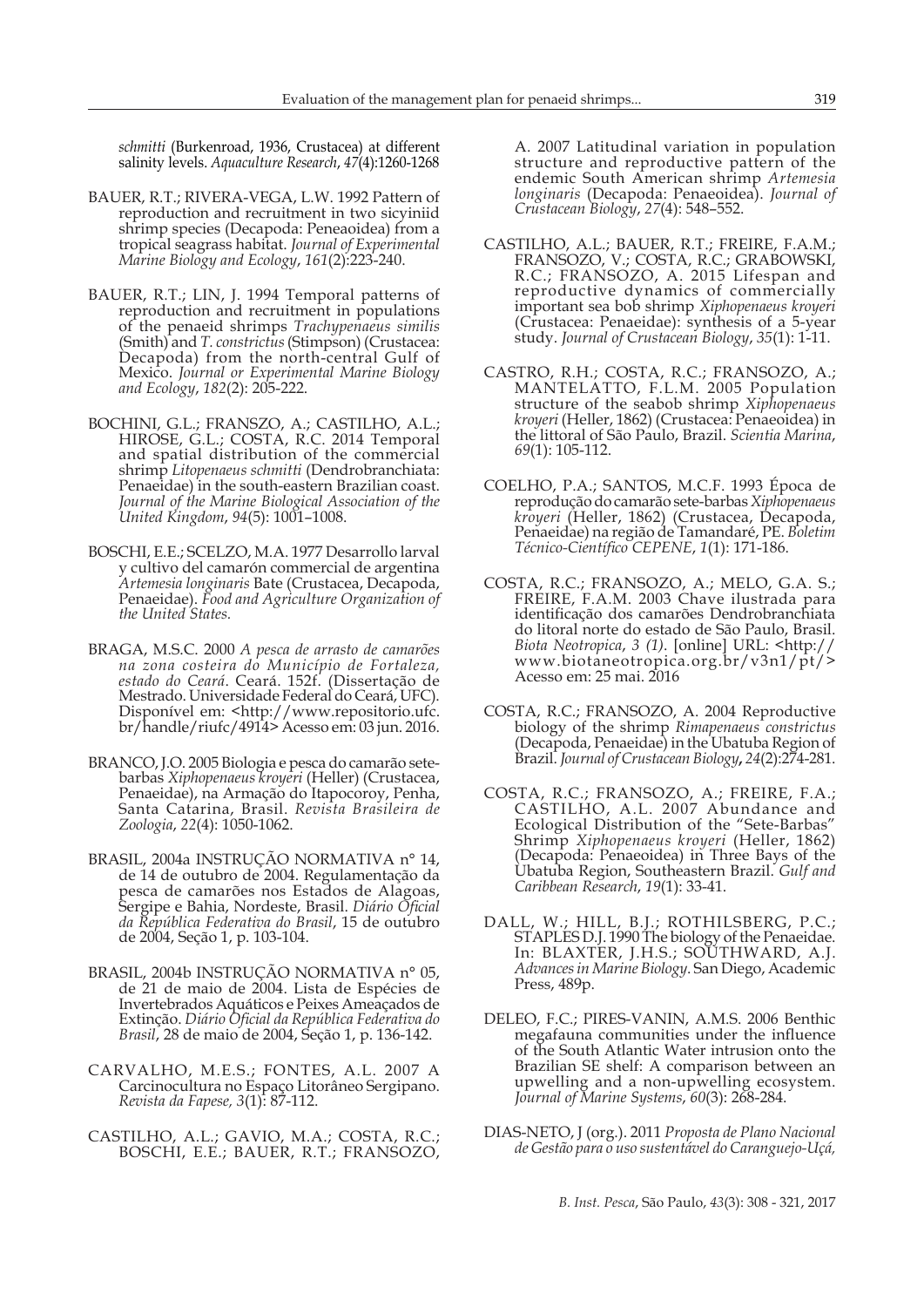*schmitti* (Burkenroad, 1936, Crustacea) at different salinity levels. *Aquaculture Research*, *47*(4):1260-1268

- BAUER, R.T.; RIVERA-VEGA, L.W. 1992 Pattern of reproduction and recruitment in two sicyiniid shrimp species (Decapoda: Peneaoidea) from a tropical seagrass habitat. *Journal of Experimental Marine Biology and Ecology*, *161*(2):223-240.
- BAUER, R.T.; LIN, J. 1994 Temporal patterns of reproduction and recruitment in populations of the penaeid shrimps *Trachypenaeus similis* (Smith) and *T. constrictus* (Stimpson) (Crustacea: Decapoda) from the north-central Gulf of Mexico. *Journal or Experimental Marine Biology and Ecology*, *182*(2): 205-222.
- BOCHINI, G.L.; FRANSZO, A.; CASTILHO, A.L.; HIROSE, G.L.; COSTA, R.C. 2014 Temporal and spatial distribution of the commercial shrimp *Litopenaeus schmitti* (Dendrobranchiata: Penaeidae) in the south-eastern Brazilian coast. *Journal of the Marine Biological Association of the United Kingdom*, *94*(5): 1001–1008.
- BOSCHI, E.E.; SCELZO, M.A. 1977 Desarrollo larval y cultivo del camarón commercial de argentina *Artemesia longinaris* Bate (Crustacea, Decapoda, Penaeidae). *Food and Agriculture Organization of the United States.*
- BRAGA, M.S.C. 2000 *A pesca de arrasto de camarões na zona costeira do Município de Fortaleza, estado do Ceará*. Ceará. 152f. (Dissertação de Mestrado. Universidade Federal do Ceará, UFC). Disponível em: <http://www.repositorio.ufc. br/handle/riufc/4914> Acesso em: 03 jun. 2016.
- BRANCO, J.O. 2005 Biologia e pesca do camarão setebarbas *Xiphopenaeus kroyeri* (Heller) (Crustacea, Penaeidae), na Armação do Itapocoroy, Penha, Santa Catarina, Brasil. *Revista Brasileira de Zoologia*, *22*(4): 1050-1062.
- BRASIL, 2004a INSTRUÇÃO NORMATIVA n° 14, de 14 de outubro de 2004. Regulamentação da pesca de camarões nos Estados de Alagoas, Sergipe e Bahia, Nordeste, Brasil. *Diário Oficial da República Federativa do Brasil*, 15 de outubro de 2004, Seção 1, p. 103-104.
- BRASIL, 2004b INSTRUÇÃO NORMATIVA n° 05, de 21 de maio de 2004. Lista de Espécies de Invertebrados Aquáticos e Peixes Ameaçados de Extinção. *Diário Oficial da República Federativa do Brasil*, 28 de maio de 2004, Seção 1, p. 136-142.
- CARVALHO, M.E.S.; FONTES, A.L. 2007 A Carcinocultura no Espaço Litorâneo Sergipano. *Revista da Fapese, 3*(1): 87-112.
- CASTILHO, A.L.; GAVIO, M.A.; COSTA, R.C.; BOSCHI, E.E.; BAUER, R.T.; FRANSOZO,

A. 2007 Latitudinal variation in population structure and reproductive pattern of the endemic South American shrimp *Artemesia longinaris* (Decapoda: Penaeoidea). *Journal of Crustacean Biology*, *27*(4): 548–552.

- CASTILHO, A.L.; BAUER, R.T.; FREIRE, F.A.M.; FRANSOZO, V.; COSTA, R.C.; GRABOWSKI, R.C.; FRANSOZO, A. 2015 Lifespan and reproductive dynamics of commercially important sea bob shrimp *Xiphopenaeus kroyeri* (Crustacea: Penaeidae): synthesis of a 5-year study. *Journal of Crustacean Biology*, *35*(1): 1-11.
- CASTRO, R.H.; COSTA, R.C.; FRANSOZO, A.; MANTELATTO, F.L.M. 2005 Population structure of the seabob shrimp *Xiphopenaeus kroyeri* (Heller, 1862) (Crustacea: Penaeoidea) in the littoral of São Paulo, Brazil. *Scientia Marina*, *69*(1): 105-112.
- COELHO, P.A.; SANTOS, M.C.F. 1993 Época de reprodução do camarão sete-barbas *Xiphopenaeus kroyeri* (Heller, 1862) (Crustacea, Decapoda, Penaeidae) na região de Tamandaré, PE. *Boletim Técnico-Científico CEPENE*, *1*(1): 171-186.
- COSTA, R.C.; FRANSOZO, A.; MELO, G.A. S.; FREIRE, F.A.M. 2003 Chave ilustrada para identificação dos camarões Dendrobranchiata do litoral norte do estado de São Paulo, Brasil. *Biota Neotropica*, *3 (1)*. [online] URL: <http:// www.biotaneotropica.org.br/v3n1/pt/> Acesso em: 25 mai. 2016
- COSTA, R.C.; FRANSOZO, A. 2004 Reproductive biology of the shrimp *Rimapenaeus constrictus*  (Decapoda, Penaeidae) in the Ubatuba Region of Brazil. *Journal of Crustacean Biology***,** *24*(2):274-281.
- COSTA, R.C.; FRANSOZO, A.; FREIRE, F.A.; CASTILHO, A.L. 2007 Abundance and Ecological Distribution of the "Sete-Barbas" Shrimp *Xiphopenaeus kroyeri* (Heller, 1862) (Decapoda: Penaeoidea) in Three Bays of the Ubatuba Region, Southeastern Brazil. *Gulf and Caribbean Research*, *19*(1): 33-41.
- DALL, W.; HILL, B.J.; ROTHILSBERG, P.C.; STAPLES D.J. 1990 The biology of the Penaeidae. In: BLAXTER, J.H.S.; SOUTHWARD, A.J. *Advances in Marine Biology*. San Diego, Academic Press, 489p.
- DELEO, F.C.; PIRES-VANIN, A.M.S. 2006 Benthic megafauna communities under the influence of the South Atlantic Water intrusion onto the Brazilian SE shelf: A comparison between an upwelling and a non-upwelling ecosystem. *Journal of Marine Systems*, *60*(3): 268-284.
- DIAS-NETO, J (org.). 2011 *Proposta de Plano Nacional de Gestão para o uso sustentável do Caranguejo-Uçá,*

*B. Inst. Pesca*, São Paulo, *43*(3): 308 - 321, 2017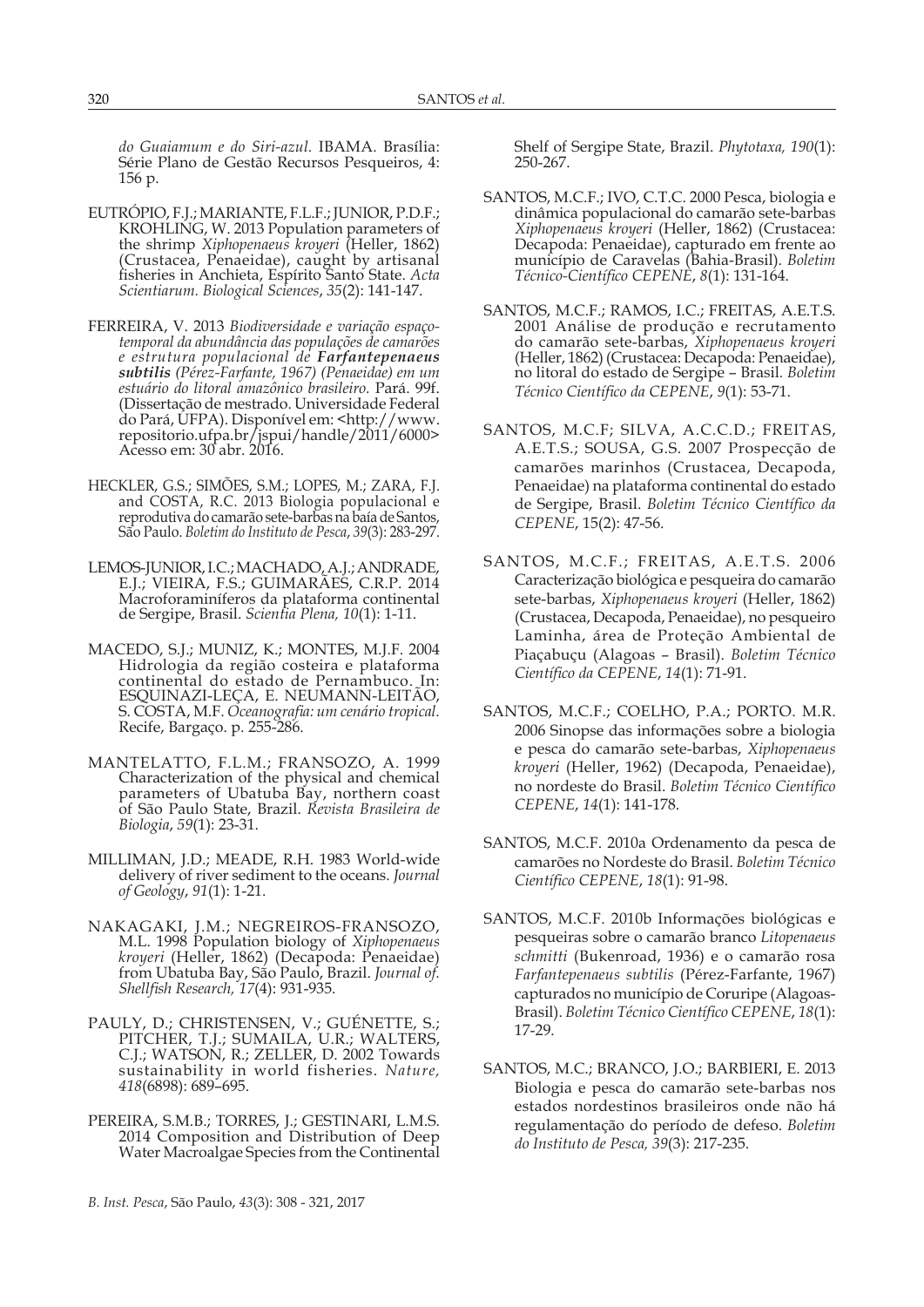*do Guaiamum e do Siri-azul.* IBAMA. Brasília: Série Plano de Gestão Recursos Pesqueiros, 4: 156 p.

- EUTRÓPIO, F.J.; MARIANTE, F.L.F.; JUNIOR, P.D.F.; KROHLING, W. 2013 Population parameters of the shrimp *Xiphopenaeus kroyeri* (Heller, 1862) (Crustacea, Penaeidae), caught by artisanal fisheries in Anchieta, Espírito Santo State. *Acta Scientiarum. Biological Sciences*, *35*(2): 141-147.
- FERREIRA, V. 2013 *Biodiversidade e variação espaçotemporal da abundância das populações de camarões e estrutura populacional de Farfantepenaeus subtilis (Pérez-Farfante, 1967) (Penaeidae) em um estuário do litoral amazônico brasileiro.* Pará. 99f. (Dissertação de mestrado. Universidade Federal do Pará, UFPA). Disponível em: <http://www. repositorio.ufpa.br/jspui/handle/2011/6000> Acesso em: 30 abr. 2016.
- HECKLER, G.S.; SIMÕES, S.M.; LOPES, M.; ZARA, F.J. and COSTA, R.C. 2013 Biologia populacional e reprodutiva do camarão sete-barbas na baía de Santos, São Paulo. *Boletim do Instituto de Pesca*, *39*(3): 283-297.
- LEMOS-JUNIOR, I.C.; MACHADO, A.J.; ANDRADE, E.J.; VIEIRA, F.S.; GUIMARÃES, C.R.P. 2014 Macroforaminíferos da plataforma continental de Sergipe, Brasil. *Scientia Plena, 10*(1): 1-11.
- MACEDO, S.J.; MUNIZ, K.; MONTES, M.J.F. 2004 Hidrologia da região costeira e plataforma continental do estado de Pernambuco. In: ESQUINAZI-LEÇA, E. NEUMANN-LEITÃO, S. COSTA, M.F. *Oceanografia: um cenário tropical.* Recife, Bargaço. p. 255-286.
- MANTELATTO, F.L.M.; FRANSOZO, A. 1999 Characterization of the physical and chemical parameters of Ubatuba Bay, northern coast of São Paulo State, Brazil. *Revista Brasileira de Biologia*, *59*(1): 23-31.
- MILLIMAN, J.D.; MEADE, R.H. 1983 World-wide delivery of river sediment to the oceans. *Journal of Geology*, *91*(1): 1-21.
- NAKAGAKI, J.M.; NEGREIROS-FRANSOZO, M.L. 1998 Population biology of *Xiphopenaeus kroyeri* (Heller, 1862) (Decapoda: Penaeidae) from Ubatuba Bay, São Paulo, Brazil. *Journal of. Shellfish Research, 17*(4): 931-935.
- PAULY, D.; CHRISTENSEN, V.; GUÉNETTE, S.; PITCHER, T.J.; SUMAILA, U.R.; WALTERS, C.J.; WATSON, R.; ZELLER, D. 2002 Towards sustainability in world fisheries. *Nature, 418*(6898): 689–695.
- PEREIRA, S.M.B.; TORRES, J.; GESTINARI, L.M.S. 2014 Composition and Distribution of Deep Water Macroalgae Species from the Continental

Shelf of Sergipe State, Brazil. *Phytotaxa, 190*(1): 250-267.

- SANTOS, M.C.F.; IVO, C.T.C. 2000 Pesca, biologia e dinâmica populacional do camarão sete-barbas *Xiphopenaeus kroyeri* (Heller, 1862) (Crustacea: Decapoda: Penaeidae), capturado em frente ao município de Caravelas (Bahia-Brasil). *Boletim Técnico-Científico CEPENE*, *8*(1): 131-164.
- SANTOS, M.C.F.; RAMOS, I.C.; FREITAS, A.E.T.S. 2001 Análise de produção e recrutamento do camarão sete-barbas, *Xiphopenaeus kroyeri* (Heller, 1862) (Crustacea: Decapoda: Penaeidae), no litoral do estado de Sergipe – Brasil*. Boletim Técnico Científico da CEPENE*, *9*(1): 53-71.
- SANTOS, M.C.F; SILVA, A.C.C.D.; FREITAS, A.E.T.S.; SOUSA, G.S. 2007 Prospecção de camarões marinhos (Crustacea, Decapoda, Penaeidae) na plataforma continental do estado de Sergipe, Brasil. *Boletim Técnico Científico da CEPENE*, 15(2): 47-56.
- SANTOS, M.C.F.; FREITAS, A.E.T.S. 2006 Caracterização biológica e pesqueira do camarão sete-barbas, *Xiphopenaeus kroyeri* (Heller, 1862) (Crustacea, Decapoda, Penaeidae), no pesqueiro Laminha, área de Proteção Ambiental de Piaçabuçu (Alagoas – Brasil). *Boletim Técnico Científico da CEPENE*, *14*(1): 71-91.
- SANTOS, M.C.F.; COELHO, P.A.; PORTO. M.R. 2006 Sinopse das informações sobre a biologia e pesca do camarão sete-barbas, *Xiphopenaeus kroyeri* (Heller, 1962) (Decapoda, Penaeidae), no nordeste do Brasil. *Boletim Técnico Científico CEPENE*, *14*(1): 141-178.
- SANTOS, M.C.F. 2010a Ordenamento da pesca de camarões no Nordeste do Brasil. *Boletim Técnico Científico CEPENE*, *18*(1): 91-98.
- SANTOS, M.C.F. 2010b Informações biológicas e pesqueiras sobre o camarão branco *Litopenaeus schmitti* (Bukenroad, 1936) e o camarão rosa *Farfantepenaeus subtilis* (Pérez-Farfante, 1967) capturados no município de Coruripe (Alagoas-Brasil). *Boletim Técnico Científico CEPENE*, *18*(1): 17-29.
- SANTOS, M.C.; BRANCO, J.O.; BARBIERI, E. 2013 Biologia e pesca do camarão sete-barbas nos estados nordestinos brasileiros onde não há regulamentação do período de defeso. *Boletim do Instituto de Pesca, 39*(3): 217-235.

*B. Inst. Pesca*, São Paulo, *43*(3): 308 - 321, 2017